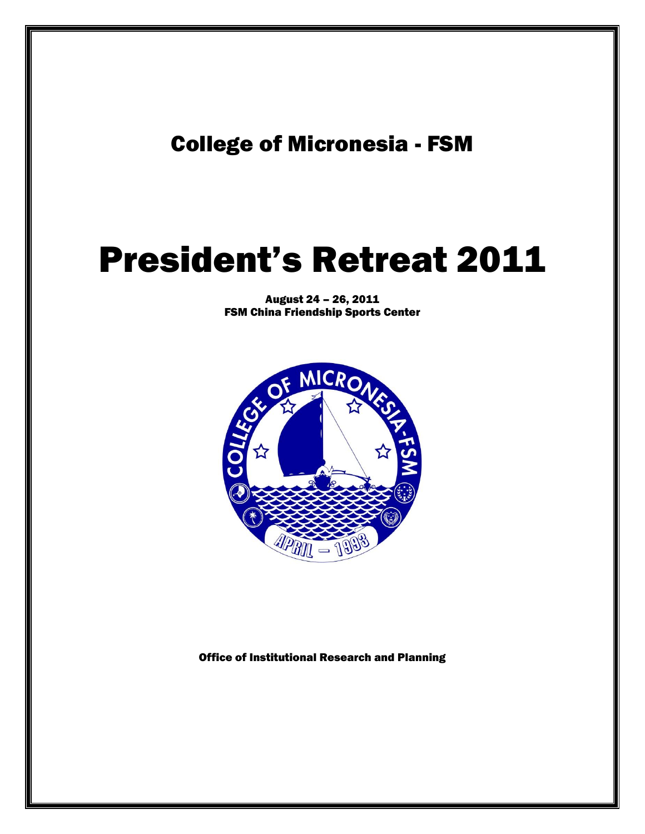# College of Micronesia - FSM

# President's Retreat 2011

August 24 – 26, 2011 FSM China Friendship Sports Center



Office of Institutional Research and Planning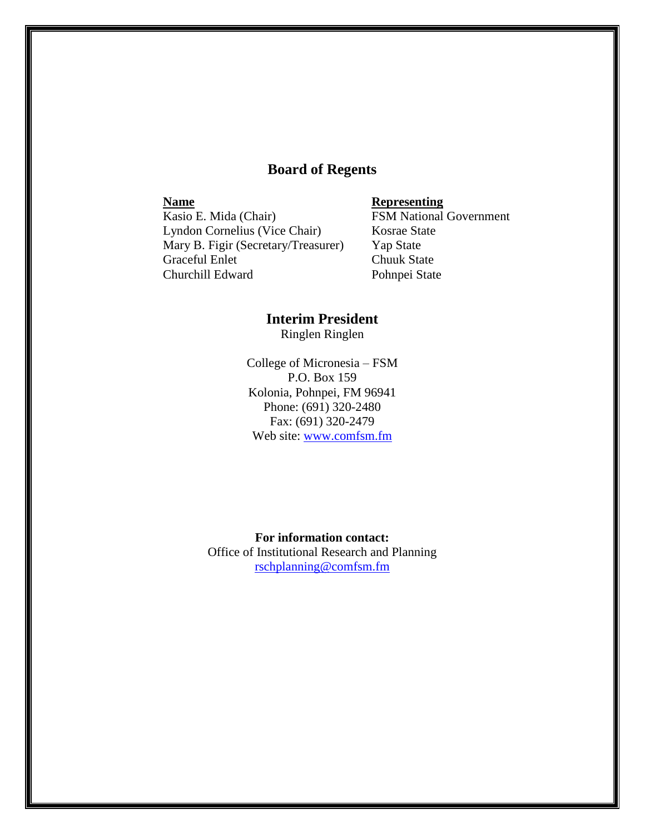### **Board of Regents**

**Name**<br> **Kasio E. Mida (Chair)**<br> **Representing**<br> **RSM National** Lyndon Cornelius (Vice Chair) Kosrae State Mary B. Figir (Secretary/Treasurer) Yap State Graceful Enlet Chuuk State Churchill Edward Pohnpei State

**FSM National Government** 

## **Interim President**

Ringlen Ringlen

College of Micronesia – FSM P.O. Box 159 Kolonia, Pohnpei, FM 96941 Phone: (691) 320-2480 Fax: (691) 320-2479 Web site: [www.comfsm.fm](http://www.comfsm.fm/)

**For information contact:** Office of Institutional Research and Planning [rschplanning@comfsm.fm](mailto:rschplanning@comfsm.fm)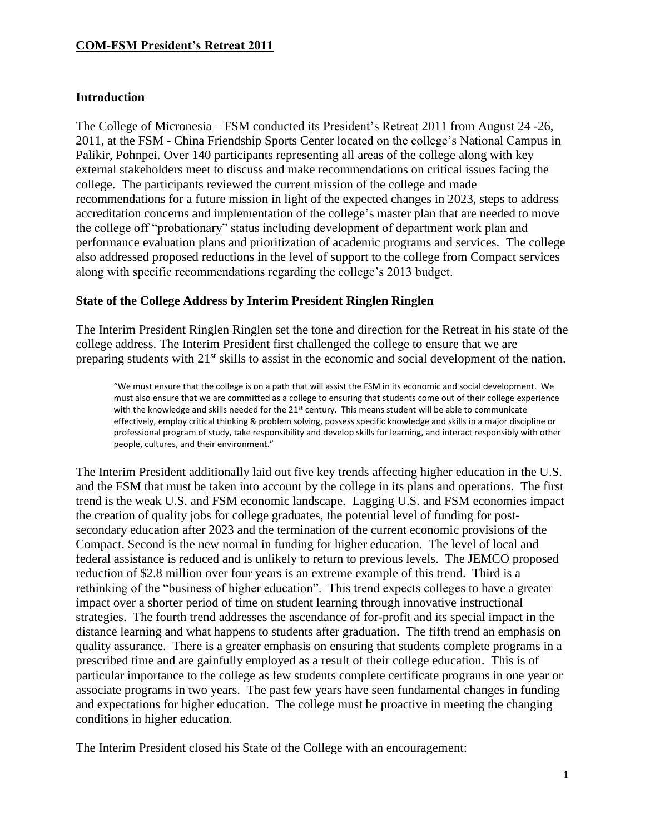### **Introduction**

The College of Micronesia – FSM conducted its President's Retreat 2011 from August 24 -26, 2011, at the FSM - China Friendship Sports Center located on the college's National Campus in Palikir, Pohnpei. Over 140 participants representing all areas of the college along with key external stakeholders meet to discuss and make recommendations on critical issues facing the college. The participants reviewed the current mission of the college and made recommendations for a future mission in light of the expected changes in 2023, steps to address accreditation concerns and implementation of the college's master plan that are needed to move the college off "probationary" status including development of department work plan and performance evaluation plans and prioritization of academic programs and services. The college also addressed proposed reductions in the level of support to the college from Compact services along with specific recommendations regarding the college's 2013 budget.

### **State of the College Address by Interim President Ringlen Ringlen**

The Interim President Ringlen Ringlen set the tone and direction for the Retreat in his state of the college address. The Interim President first challenged the college to ensure that we are preparing students with 21<sup>st</sup> skills to assist in the economic and social development of the nation.

"We must ensure that the college is on a path that will assist the FSM in its economic and social development. We must also ensure that we are committed as a college to ensuring that students come out of their college experience with the knowledge and skills needed for the 21<sup>st</sup> century. This means student will be able to communicate effectively, employ critical thinking & problem solving, possess specific knowledge and skills in a major discipline or professional program of study, take responsibility and develop skills for learning, and interact responsibly with other people, cultures, and their environment."

The Interim President additionally laid out five key trends affecting higher education in the U.S. and the FSM that must be taken into account by the college in its plans and operations. The first trend is the weak U.S. and FSM economic landscape. Lagging U.S. and FSM economies impact the creation of quality jobs for college graduates, the potential level of funding for postsecondary education after 2023 and the termination of the current economic provisions of the Compact. Second is the new normal in funding for higher education. The level of local and federal assistance is reduced and is unlikely to return to previous levels. The JEMCO proposed reduction of \$2.8 million over four years is an extreme example of this trend. Third is a rethinking of the "business of higher education". This trend expects colleges to have a greater impact over a shorter period of time on student learning through innovative instructional strategies. The fourth trend addresses the ascendance of for-profit and its special impact in the distance learning and what happens to students after graduation. The fifth trend an emphasis on quality assurance. There is a greater emphasis on ensuring that students complete programs in a prescribed time and are gainfully employed as a result of their college education. This is of particular importance to the college as few students complete certificate programs in one year or associate programs in two years. The past few years have seen fundamental changes in funding and expectations for higher education. The college must be proactive in meeting the changing conditions in higher education.

The Interim President closed his State of the College with an encouragement: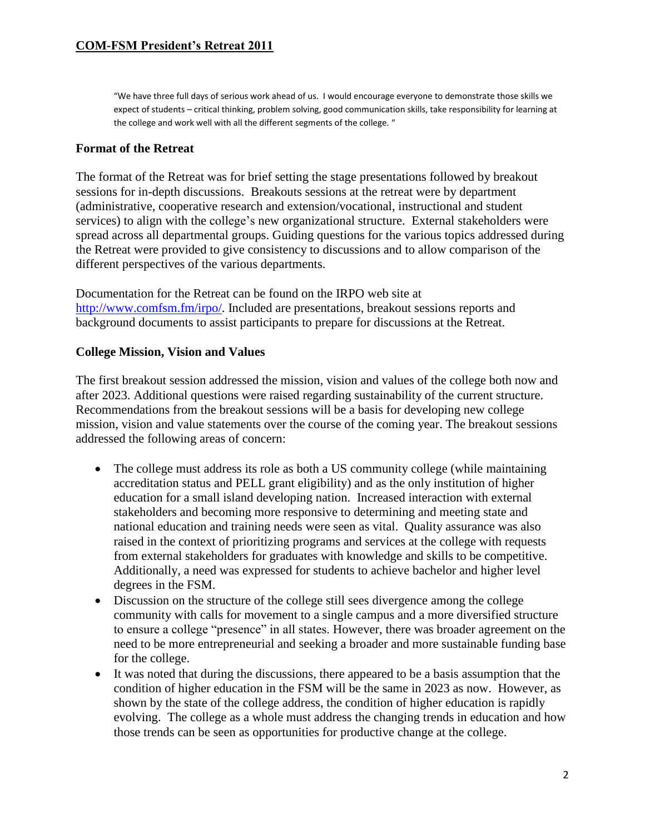"We have three full days of serious work ahead of us. I would encourage everyone to demonstrate those skills we expect of students – critical thinking, problem solving, good communication skills, take responsibility for learning at the college and work well with all the different segments of the college. "

### **Format of the Retreat**

The format of the Retreat was for brief setting the stage presentations followed by breakout sessions for in-depth discussions. Breakouts sessions at the retreat were by department (administrative, cooperative research and extension/vocational, instructional and student services) to align with the college's new organizational structure. External stakeholders were spread across all departmental groups. Guiding questions for the various topics addressed during the Retreat were provided to give consistency to discussions and to allow comparison of the different perspectives of the various departments.

Documentation for the Retreat can be found on the IRPO web site at [http://www.comfsm.fm/irpo/.](http://www.comfsm.fm/irpo/) Included are presentations, breakout sessions reports and background documents to assist participants to prepare for discussions at the Retreat.

### **College Mission, Vision and Values**

The first breakout session addressed the mission, vision and values of the college both now and after 2023. Additional questions were raised regarding sustainability of the current structure. Recommendations from the breakout sessions will be a basis for developing new college mission, vision and value statements over the course of the coming year. The breakout sessions addressed the following areas of concern:

- The college must address its role as both a US community college (while maintaining accreditation status and PELL grant eligibility) and as the only institution of higher education for a small island developing nation. Increased interaction with external stakeholders and becoming more responsive to determining and meeting state and national education and training needs were seen as vital. Quality assurance was also raised in the context of prioritizing programs and services at the college with requests from external stakeholders for graduates with knowledge and skills to be competitive. Additionally, a need was expressed for students to achieve bachelor and higher level degrees in the FSM.
- Discussion on the structure of the college still sees divergence among the college community with calls for movement to a single campus and a more diversified structure to ensure a college "presence" in all states. However, there was broader agreement on the need to be more entrepreneurial and seeking a broader and more sustainable funding base for the college.
- It was noted that during the discussions, there appeared to be a basis assumption that the condition of higher education in the FSM will be the same in 2023 as now. However, as shown by the state of the college address, the condition of higher education is rapidly evolving. The college as a whole must address the changing trends in education and how those trends can be seen as opportunities for productive change at the college.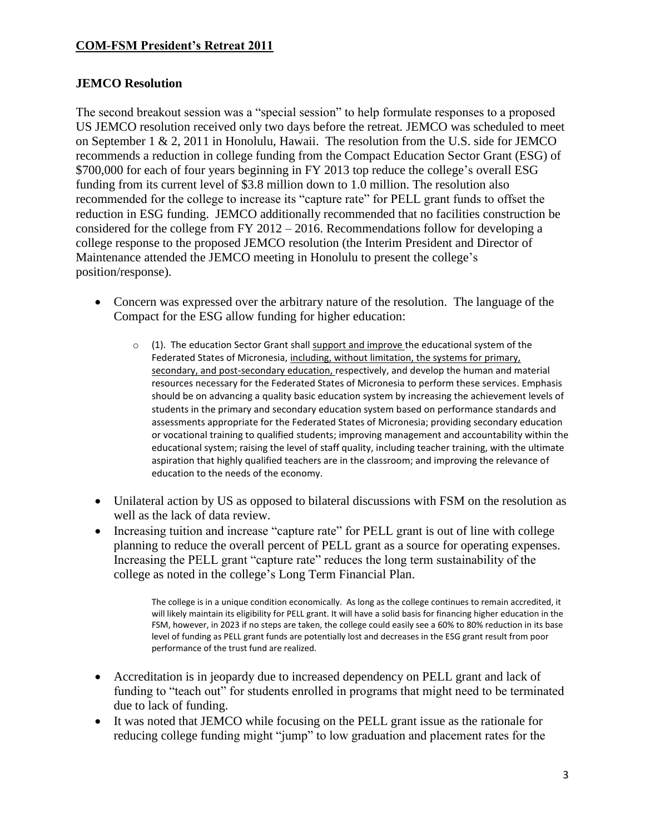### **JEMCO Resolution**

The second breakout session was a "special session" to help formulate responses to a proposed US JEMCO resolution received only two days before the retreat. JEMCO was scheduled to meet on September 1 & 2, 2011 in Honolulu, Hawaii. The resolution from the U.S. side for JEMCO recommends a reduction in college funding from the Compact Education Sector Grant (ESG) of \$700,000 for each of four years beginning in FY 2013 top reduce the college's overall ESG funding from its current level of \$3.8 million down to 1.0 million. The resolution also recommended for the college to increase its "capture rate" for PELL grant funds to offset the reduction in ESG funding. JEMCO additionally recommended that no facilities construction be considered for the college from FY 2012 – 2016. Recommendations follow for developing a college response to the proposed JEMCO resolution (the Interim President and Director of Maintenance attended the JEMCO meeting in Honolulu to present the college's position/response).

- Concern was expressed over the arbitrary nature of the resolution. The language of the Compact for the ESG allow funding for higher education:
	- $\circ$  (1). The education Sector Grant shall support and improve the educational system of the Federated States of Micronesia, including, without limitation, the systems for primary, secondary, and post-secondary education, respectively, and develop the human and material resources necessary for the Federated States of Micronesia to perform these services. Emphasis should be on advancing a quality basic education system by increasing the achievement levels of students in the primary and secondary education system based on performance standards and assessments appropriate for the Federated States of Micronesia; providing secondary education or vocational training to qualified students; improving management and accountability within the educational system; raising the level of staff quality, including teacher training, with the ultimate aspiration that highly qualified teachers are in the classroom; and improving the relevance of education to the needs of the economy.
- Unilateral action by US as opposed to bilateral discussions with FSM on the resolution as well as the lack of data review.
- Increasing tuition and increase "capture rate" for PELL grant is out of line with college planning to reduce the overall percent of PELL grant as a source for operating expenses. Increasing the PELL grant "capture rate" reduces the long term sustainability of the college as noted in the college's Long Term Financial Plan.

The college is in a unique condition economically. As long as the college continues to remain accredited, it will likely maintain its eligibility for PELL grant. It will have a solid basis for financing higher education in the FSM, however, in 2023 if no steps are taken, the college could easily see a 60% to 80% reduction in its base level of funding as PELL grant funds are potentially lost and decreases in the ESG grant result from poor performance of the trust fund are realized.

- Accreditation is in jeopardy due to increased dependency on PELL grant and lack of funding to "teach out" for students enrolled in programs that might need to be terminated due to lack of funding.
- It was noted that JEMCO while focusing on the PELL grant issue as the rationale for reducing college funding might "jump" to low graduation and placement rates for the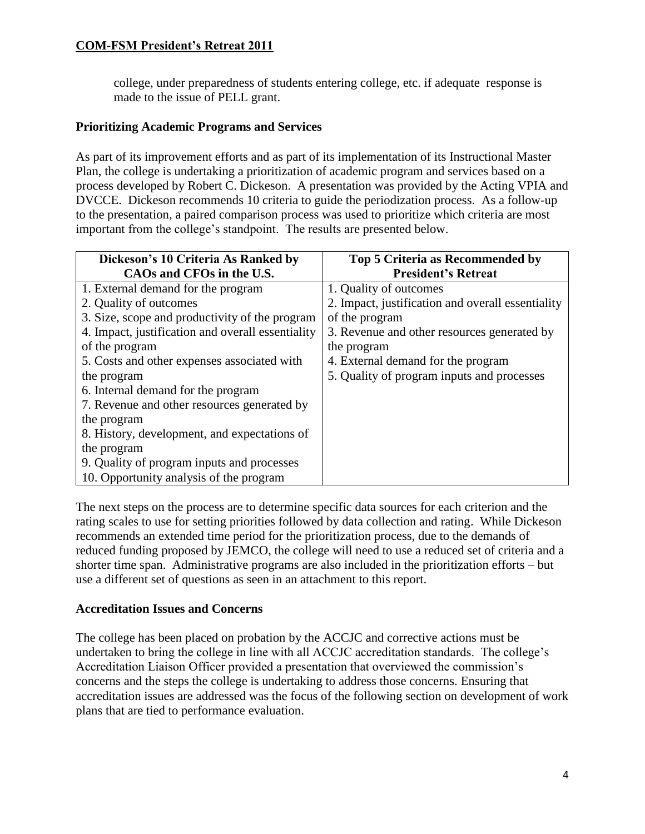college, under preparedness of students entering college, etc. if adequate response is made to the issue of PELL grant.

### **Prioritizing Academic Programs and Services**

As part of its improvement efforts and as part of its implementation of its Instructional Master Plan, the college is undertaking a prioritization of academic program and services based on a process developed by Robert C. Dickeson. A presentation was provided by the Acting VPIA and DVCCE. Dickeson recommends 10 criteria to guide the periodization process. As a follow-up to the presentation, a paired comparison process was used to prioritize which criteria are most important from the college's standpoint. The results are presented below.

| Dickeson's 10 Criteria As Ranked by               | <b>Top 5 Criteria as Recommended by</b>           |
|---------------------------------------------------|---------------------------------------------------|
| CAOs and CFOs in the U.S.                         | <b>President's Retreat</b>                        |
| 1. External demand for the program                | 1. Quality of outcomes                            |
| 2. Quality of outcomes                            | 2. Impact, justification and overall essentiality |
| 3. Size, scope and productivity of the program    | of the program                                    |
| 4. Impact, justification and overall essentiality | 3. Revenue and other resources generated by       |
| of the program                                    | the program                                       |
| 5. Costs and other expenses associated with       | 4. External demand for the program                |
| the program                                       | 5. Quality of program inputs and processes        |
| 6. Internal demand for the program                |                                                   |
| 7. Revenue and other resources generated by       |                                                   |
| the program                                       |                                                   |
| 8. History, development, and expectations of      |                                                   |
| the program                                       |                                                   |
| 9. Quality of program inputs and processes        |                                                   |
| 10. Opportunity analysis of the program           |                                                   |

The next steps on the process are to determine specific data sources for each criterion and the rating scales to use for setting priorities followed by data collection and rating. While Dickeson recommends an extended time period for the prioritization process, due to the demands of reduced funding proposed by JEMCO, the college will need to use a reduced set of criteria and a shorter time span. Administrative programs are also included in the prioritization efforts – but use a different set of questions as seen in an attachment to this report.

### **Accreditation Issues and Concerns**

The college has been placed on probation by the ACCJC and corrective actions must be undertaken to bring the college in line with all ACCJC accreditation standards. The college's Accreditation Liaison Officer provided a presentation that overviewed the commission's concerns and the steps the college is undertaking to address those concerns. Ensuring that accreditation issues are addressed was the focus of the following section on development of work plans that are tied to performance evaluation.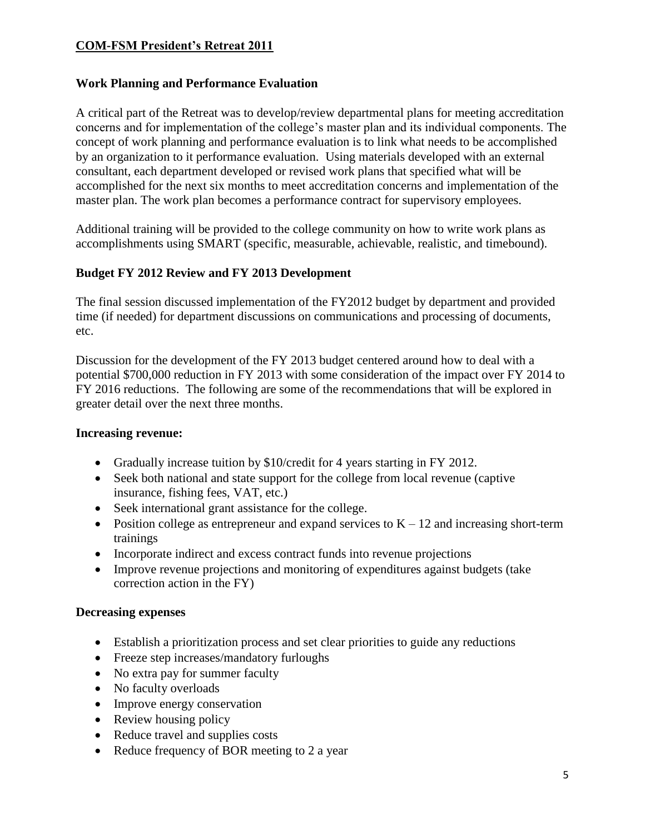### **Work Planning and Performance Evaluation**

A critical part of the Retreat was to develop/review departmental plans for meeting accreditation concerns and for implementation of the college's master plan and its individual components. The concept of work planning and performance evaluation is to link what needs to be accomplished by an organization to it performance evaluation. Using materials developed with an external consultant, each department developed or revised work plans that specified what will be accomplished for the next six months to meet accreditation concerns and implementation of the master plan. The work plan becomes a performance contract for supervisory employees.

Additional training will be provided to the college community on how to write work plans as accomplishments using SMART (specific, measurable, achievable, realistic, and timebound).

### **Budget FY 2012 Review and FY 2013 Development**

The final session discussed implementation of the FY2012 budget by department and provided time (if needed) for department discussions on communications and processing of documents, etc.

Discussion for the development of the FY 2013 budget centered around how to deal with a potential \$700,000 reduction in FY 2013 with some consideration of the impact over FY 2014 to FY 2016 reductions. The following are some of the recommendations that will be explored in greater detail over the next three months.

### **Increasing revenue:**

- Gradually increase tuition by \$10/credit for 4 years starting in FY 2012.
- Seek both national and state support for the college from local revenue (captive insurance, fishing fees, VAT, etc.)
- Seek international grant assistance for the college.
- Position college as entrepreneur and expand services to  $K 12$  and increasing short-term trainings
- Incorporate indirect and excess contract funds into revenue projections
- Improve revenue projections and monitoring of expenditures against budgets (take correction action in the FY)

### **Decreasing expenses**

- Establish a prioritization process and set clear priorities to guide any reductions
- Freeze step increases/mandatory furloughs
- No extra pay for summer faculty
- No faculty overloads
- Improve energy conservation
- Review housing policy
- Reduce travel and supplies costs
- Reduce frequency of BOR meeting to 2 a year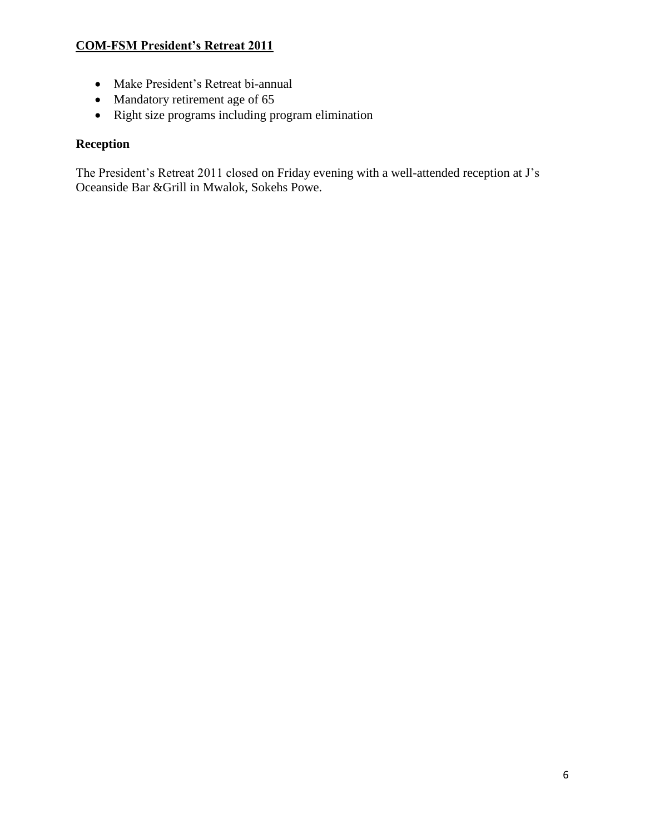- Make President's Retreat bi-annual
- Mandatory retirement age of 65
- Right size programs including program elimination

### **Reception**

The President's Retreat 2011 closed on Friday evening with a well-attended reception at J's Oceanside Bar &Grill in Mwalok, Sokehs Powe.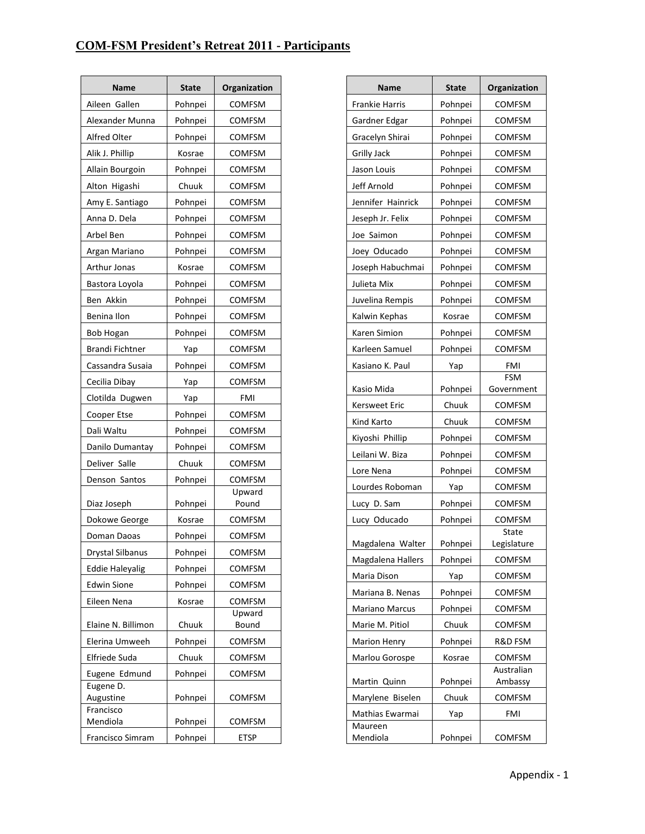### **COM-FSM President's Retreat 2011 - Participants**

| Name                   | <b>State</b> | Organization            |
|------------------------|--------------|-------------------------|
| Aileen Gallen          | Pohnpei      | <b>COMFSM</b>           |
| Alexander Munna        | Pohnpei      | COMFSM                  |
| Alfred Olter           | Pohnpei      | COMFSM                  |
| Alik J. Phillip        | Kosrae       | <b>COMFSM</b>           |
| Allain Bourgoin        | Pohnpei      | <b>COMFSM</b>           |
| Alton Higashi          | Chuuk        | COMFSM                  |
| Amy E. Santiago        | Pohnpei      | <b>COMFSM</b>           |
| Anna D. Dela           | Pohnpei      | <b>COMFSM</b>           |
| Arbel Ben              | Pohnpei      | COMFSM                  |
| Argan Mariano          | Pohnpei      | <b>COMFSM</b>           |
| Arthur Jonas           | Kosrae       | <b>COMFSM</b>           |
| Bastora Loyola         | Pohnpei      | COMFSM                  |
| Ben Akkin              | Pohnpei      | COMFSM                  |
| Benina Ilon            | Pohnpei      | <b>COMFSM</b>           |
| <b>Bob Hogan</b>       | Pohnpei      | COMFSM                  |
| Brandi Fichtner        | Yap          | COMFSM                  |
| Cassandra Susaia       | Pohnpei      | <b>COMFSM</b>           |
| Cecilia Dibay          | Yap          | COMFSM                  |
| Clotilda Dugwen        | Yap          | FMI                     |
| Cooper Etse            | Pohnpei      | <b>COMFSM</b>           |
| Dali Waltu             | Pohnpei      | <b>COMFSM</b>           |
| Danilo Dumantay        | Pohnpei      | COMFSM                  |
| Deliver Salle          | Chuuk        | COMFSM                  |
| Denson Santos          | Pohnpei      | <b>COMFSM</b>           |
|                        |              | Upward                  |
| Diaz Joseph            | Pohnpei      | Pound                   |
| Dokowe George          | Kosrae       | COMFSM                  |
| Doman Daoas            | Pohnpei      | <b>COMFSM</b>           |
| Drystal Silbanus       | Pohnpei      | COMFSM                  |
| <b>Eddie Haleyalig</b> | Pohnpei      | <b>COMFSM</b>           |
| <b>Edwin Sione</b>     | Pohnpei      | <b>COMFSM</b>           |
| Eileen Nena            | Kosrae       | <b>COMFSM</b><br>Upward |
| Elaine N. Billimon     | Chuuk        | Bound                   |
| Elerina Umweeh         | Pohnpei      | COMFSM                  |
| Elfriede Suda          | Chuuk        | COMFSM                  |
| Eugene Edmund          | Pohnpei      | <b>COMFSM</b>           |
| Eugene D.              |              |                         |
| Augustine<br>Francisco | Pohnpei      | <b>COMFSM</b>           |
| Mendiola               | Pohnpei      | <b>COMFSM</b>           |
| Francisco Simram       | Pohnpei      | ETSP                    |

| Name                  | State   | Organization             |
|-----------------------|---------|--------------------------|
| <b>Frankie Harris</b> | Pohnpei | <b>COMFSM</b>            |
| Gardner Edgar         | Pohnpei | <b>COMFSM</b>            |
| Gracelyn Shirai       | Pohnpei | <b>COMFSM</b>            |
| <b>Grilly Jack</b>    | Pohnpei | <b>COMFSM</b>            |
| Jason Louis           | Pohnpei | <b>COMFSM</b>            |
| Jeff Arnold           | Pohnpei | <b>COMFSM</b>            |
| Jennifer Hainrick     | Pohnpei | <b>COMFSM</b>            |
| Jeseph Jr. Felix      | Pohnpei | <b>COMFSM</b>            |
| Joe Saimon            | Pohnpei | <b>COMFSM</b>            |
| Joey Oducado          | Pohnpei | <b>COMFSM</b>            |
| Joseph Habuchmai      | Pohnpei | <b>COMFSM</b>            |
| Julieta Mix           | Pohnpei | <b>COMFSM</b>            |
| Juvelina Rempis       | Pohnpei | COMFSM                   |
| Kalwin Kephas         | Kosrae  | <b>COMFSM</b>            |
| Karen Simion          | Pohnpei | <b>COMFSM</b>            |
| Karleen Samuel        | Pohnpei | <b>COMFSM</b>            |
| Kasiano K. Paul       | Yap     | FMI                      |
| Kasio Mida            | Pohnpei | <b>FSM</b><br>Government |
| Kersweet Eric         | Chuuk   | <b>COMFSM</b>            |
| Kind Karto            | Chuuk   | <b>COMFSM</b>            |
| Kiyoshi Phillip       | Pohnpei | <b>COMFSM</b>            |
| Leilani W. Biza       | Pohnpei | <b>COMFSM</b>            |
| Lore Nena             | Pohnpei | <b>COMFSM</b>            |
| Lourdes Roboman       | Yap     | <b>COMFSM</b>            |
| Lucy D. Sam           | Pohnpei | <b>COMFSM</b>            |
| Lucy Oducado          | Pohnpei | <b>COMFSM</b>            |
| Magdalena Walter      | Pohnpei | State<br>Legislature     |
| Magdalena Hallers     | Pohnpei | <b>COMFSM</b>            |
| Maria Dison           | Yap     | <b>COMFSM</b>            |
| Mariana B. Nenas      | Pohnpei | <b>COMFSM</b>            |
| <b>Mariano Marcus</b> | Pohnpei | <b>COMFSM</b>            |
| Marie M. Pitiol       | Chuuk   | <b>COMFSM</b>            |
| <b>Marion Henry</b>   | Pohnpei | R&D FSM                  |
| Marlou Gorospe        | Kosrae  | <b>COMFSM</b>            |
| Martin Quinn          | Pohnpei | Australian<br>Ambassy    |
| Marylene Biselen      | Chuuk   | <b>COMFSM</b>            |
| Mathias Ewarmai       | Yap     | <b>FMI</b>               |
| Maureen<br>Mendiola   | Pohnpei | <b>COMFSM</b>            |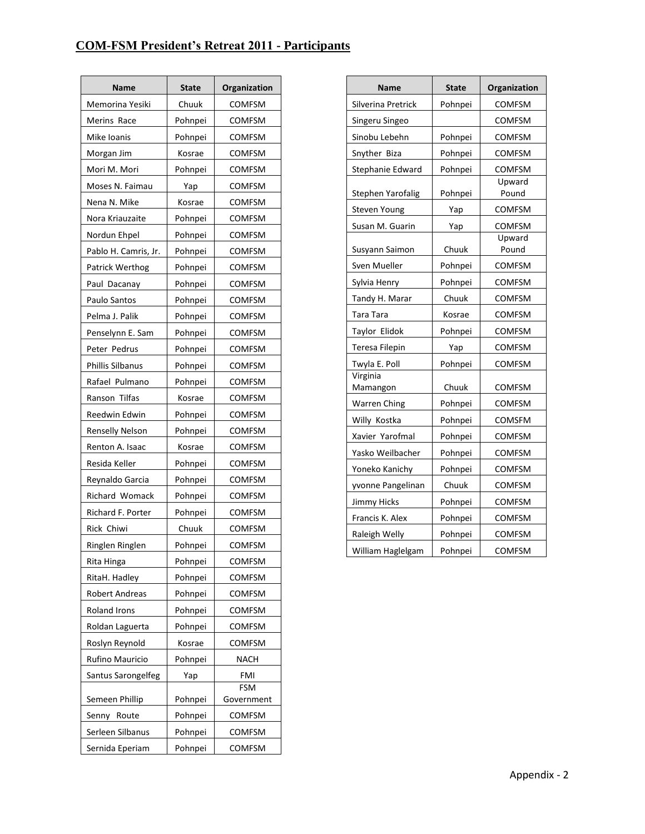### **COM-FSM President's Retreat 2011 - Participants**

| Name                   | State   | Organization             |
|------------------------|---------|--------------------------|
| Memorina Yesiki        | Chuuk   | <b>COMFSM</b>            |
| Merins Race            | Pohnpei | <b>COMFSM</b>            |
| Mike Ioanis            | Pohnpei | COMFSM                   |
| Morgan Jim             | Kosrae  | <b>COMFSM</b>            |
| Mori M. Mori           | Pohnpei | COMFSM                   |
| Moses N. Faimau        | Yap     | <b>COMFSM</b>            |
| Nena N. Mike           | Kosrae  | <b>COMFSM</b>            |
| Nora Kriauzaite        | Pohnpei | COMFSM                   |
| Nordun Ehpel           | Pohnpei | COMFSM                   |
| Pablo H. Camris, Jr.   | Pohnpei | <b>COMFSM</b>            |
| Patrick Werthog        | Pohnpei | <b>COMFSM</b>            |
| Paul Dacanay           | Pohnpei | <b>COMFSM</b>            |
| Paulo Santos           | Pohnpei | <b>COMFSM</b>            |
| Pelma J. Palik         | Pohnpei | <b>COMFSM</b>            |
| Penselynn E. Sam       | Pohnpei | <b>COMFSM</b>            |
| Peter Pedrus           | Pohnpei | COMFSM                   |
| Phillis Silbanus       | Pohnpei | <b>COMFSM</b>            |
| Rafael Pulmano         | Pohnpei | <b>COMFSM</b>            |
| Ranson Tilfas          | Kosrae  | <b>COMFSM</b>            |
| Reedwin Edwin          | Pohnpei | <b>COMFSM</b>            |
| <b>Renselly Nelson</b> | Pohnpei | <b>COMFSM</b>            |
| Renton A. Isaac        | Kosrae  | <b>COMFSM</b>            |
| Resida Keller          | Pohnpei | <b>COMFSM</b>            |
| Reynaldo Garcia        | Pohnpei | <b>COMFSM</b>            |
| <b>Richard Womack</b>  | Pohnpei | <b>COMFSM</b>            |
| Richard F. Porter      | Pohnpei | <b>COMFSM</b>            |
| Rick Chiwi             | Chuuk   | COMFSM                   |
| Ringlen Ringlen        | Pohnpei | COMFSM                   |
| Rita Hinga             | Pohnpei | <b>COMFSM</b>            |
| RitaH. Hadley          | Pohnpei | COMFSM                   |
| <b>Robert Andreas</b>  | Pohnpei | <b>COMFSM</b>            |
| Roland Irons           | Pohnpei | COMFSM                   |
| Roldan Laguerta        | Pohnpei | <b>COMFSM</b>            |
| Roslyn Reynold         | Kosrae  | COMFSM                   |
| Rufino Mauricio        | Pohnpei | NACH                     |
| Santus Sarongelfeg     | Yap     | FMI                      |
| Semeen Phillip         | Pohnpei | <b>FSM</b><br>Government |
| Senny Route            | Pohnpei | COMFSM                   |
| Serleen Silbanus       | Pohnpei | COMFSM                   |
| Sernida Eperiam        | Pohnpei | COMFSM                   |

| <b>Name</b>          | <b>State</b> | Organization    |
|----------------------|--------------|-----------------|
| Silverina Pretrick   | Pohnpei      | <b>COMFSM</b>   |
| Singeru Singeo       |              | <b>COMFSM</b>   |
| Sinobu Lebehn        | Pohnpei      | <b>COMFSM</b>   |
| Snyther Biza         | Pohnpei      | <b>COMFSM</b>   |
| Stephanie Edward     | Pohnpei      | <b>COMFSM</b>   |
| Stephen Yarofalig    | Pohnpei      | Upward<br>Pound |
| Steven Young         | Yap          | <b>COMFSM</b>   |
| Susan M. Guarin      | Yap          | <b>COMFSM</b>   |
| Susyann Saimon       | Chuuk        | Upward<br>Pound |
| Sven Mueller         | Pohnpei      | COMFSM          |
| Sylvia Henry         | Pohnpei      | <b>COMFSM</b>   |
| Tandy H. Marar       | Chuuk        | <b>COMFSM</b>   |
| Tara Tara            | Kosrae       | <b>COMFSM</b>   |
| Taylor Elidok        | Pohnpei      | <b>COMFSM</b>   |
| Teresa Filepin       | Yap          | <b>COMFSM</b>   |
| Twyla E. Poll        | Pohnpei      | <b>COMFSM</b>   |
| Virginia<br>Mamangon | Chuuk        | <b>COMFSM</b>   |
| <b>Warren Ching</b>  | Pohnpei      | <b>COMFSM</b>   |
| Willy Kostka         | Pohnpei      | <b>COMSFM</b>   |
| Xavier Yarofmal      | Pohnpei      | <b>COMFSM</b>   |
| Yasko Weilbacher     | Pohnpei      | <b>COMFSM</b>   |
| Yoneko Kanichy       | Pohnpei      | <b>COMFSM</b>   |
| yvonne Pangelinan    | Chuuk        | <b>COMFSM</b>   |
| Jimmy Hicks          | Pohnpei      | <b>COMFSM</b>   |
| Francis K. Alex      | Pohnpei      | COMFSM          |
| Raleigh Welly        | Pohnpei      | COMFSM          |
| William Haglelgam    | Pohnpei      | <b>COMFSM</b>   |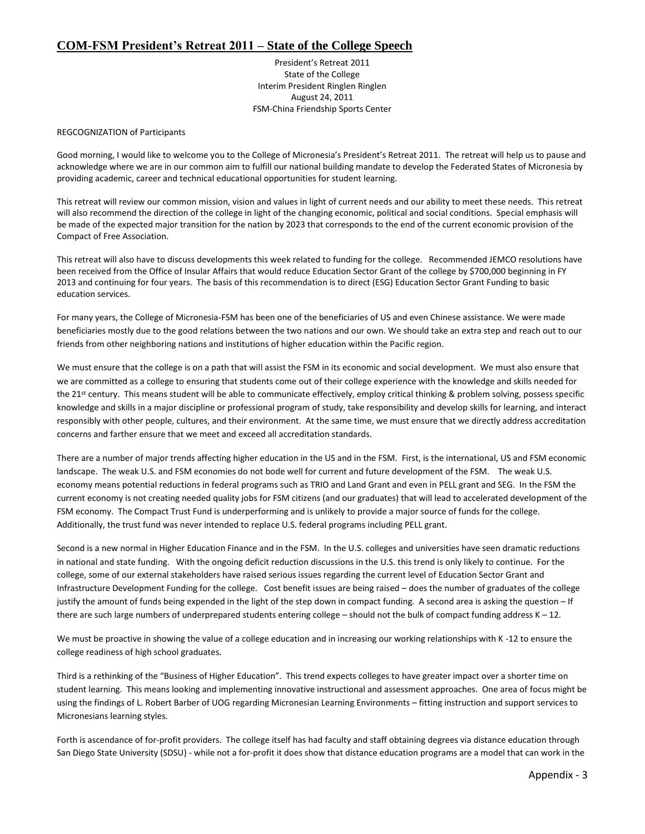### **COM-FSM President's Retreat 2011 – State of the College Speech**

President's Retreat 2011 State of the College Interim President Ringlen Ringlen August 24, 2011 FSM-China Friendship Sports Center

REGCOGNIZATION of Participants

Good morning, I would like to welcome you to the College of Micronesia's President's Retreat 2011. The retreat will help us to pause and acknowledge where we are in our common aim to fulfill our national building mandate to develop the Federated States of Micronesia by providing academic, career and technical educational opportunities for student learning.

This retreat will review our common mission, vision and values in light of current needs and our ability to meet these needs. This retreat will also recommend the direction of the college in light of the changing economic, political and social conditions. Special emphasis will be made of the expected major transition for the nation by 2023 that corresponds to the end of the current economic provision of the Compact of Free Association.

This retreat will also have to discuss developments this week related to funding for the college. Recommended JEMCO resolutions have been received from the Office of Insular Affairs that would reduce Education Sector Grant of the college by \$700,000 beginning in FY 2013 and continuing for four years. The basis of this recommendation is to direct (ESG) Education Sector Grant Funding to basic education services.

For many years, the College of Micronesia-FSM has been one of the beneficiaries of US and even Chinese assistance. We were made beneficiaries mostly due to the good relations between the two nations and our own. We should take an extra step and reach out to our friends from other neighboring nations and institutions of higher education within the Pacific region.

We must ensure that the college is on a path that will assist the FSM in its economic and social development. We must also ensure that we are committed as a college to ensuring that students come out of their college experience with the knowledge and skills needed for the 21<sup>st</sup> century. This means student will be able to communicate effectively, employ critical thinking & problem solving, possess specific knowledge and skills in a major discipline or professional program of study, take responsibility and develop skills for learning, and interact responsibly with other people, cultures, and their environment. At the same time, we must ensure that we directly address accreditation concerns and farther ensure that we meet and exceed all accreditation standards.

There are a number of major trends affecting higher education in the US and in the FSM. First, is the international, US and FSM economic landscape. The weak U.S. and FSM economies do not bode well for current and future development of the FSM. The weak U.S. economy means potential reductions in federal programs such as TRIO and Land Grant and even in PELL grant and SEG. In the FSM the current economy is not creating needed quality jobs for FSM citizens (and our graduates) that will lead to accelerated development of the FSM economy. The Compact Trust Fund is underperforming and is unlikely to provide a major source of funds for the college. Additionally, the trust fund was never intended to replace U.S. federal programs including PELL grant.

Second is a new normal in Higher Education Finance and in the FSM. In the U.S. colleges and universities have seen dramatic reductions in national and state funding. With the ongoing deficit reduction discussions in the U.S. this trend is only likely to continue. For the college, some of our external stakeholders have raised serious issues regarding the current level of Education Sector Grant and Infrastructure Development Funding for the college. Cost benefit issues are being raised – does the number of graduates of the college justify the amount of funds being expended in the light of the step down in compact funding. A second area is asking the question – If there are such large numbers of underprepared students entering college – should not the bulk of compact funding address K – 12.

We must be proactive in showing the value of a college education and in increasing our working relationships with K -12 to ensure the college readiness of high school graduates.

Third is a rethinking of the "Business of Higher Education". This trend expects colleges to have greater impact over a shorter time on student learning. This means looking and implementing innovative instructional and assessment approaches. One area of focus might be using the findings of L. Robert Barber of UOG regarding Micronesian Learning Environments – fitting instruction and support services to Micronesians learning styles.

Forth is ascendance of for-profit providers. The college itself has had faculty and staff obtaining degrees via distance education through San Diego State University (SDSU) - while not a for-profit it does show that distance education programs are a model that can work in the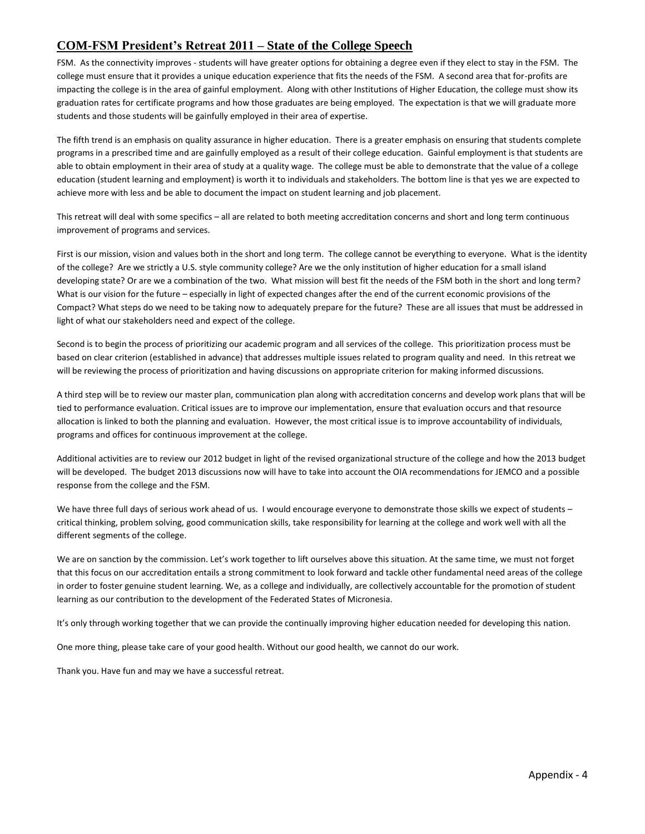### **COM-FSM President's Retreat 2011 – State of the College Speech**

FSM. As the connectivity improves - students will have greater options for obtaining a degree even if they elect to stay in the FSM. The college must ensure that it provides a unique education experience that fits the needs of the FSM. A second area that for-profits are impacting the college is in the area of gainful employment. Along with other Institutions of Higher Education, the college must show its graduation rates for certificate programs and how those graduates are being employed. The expectation is that we will graduate more students and those students will be gainfully employed in their area of expertise.

The fifth trend is an emphasis on quality assurance in higher education. There is a greater emphasis on ensuring that students complete programs in a prescribed time and are gainfully employed as a result of their college education. Gainful employment is that students are able to obtain employment in their area of study at a quality wage. The college must be able to demonstrate that the value of a college education (student learning and employment) is worth it to individuals and stakeholders. The bottom line is that yes we are expected to achieve more with less and be able to document the impact on student learning and job placement.

This retreat will deal with some specifics – all are related to both meeting accreditation concerns and short and long term continuous improvement of programs and services.

First is our mission, vision and values both in the short and long term. The college cannot be everything to everyone. What is the identity of the college? Are we strictly a U.S. style community college? Are we the only institution of higher education for a small island developing state? Or are we a combination of the two. What mission will best fit the needs of the FSM both in the short and long term? What is our vision for the future – especially in light of expected changes after the end of the current economic provisions of the Compact? What steps do we need to be taking now to adequately prepare for the future? These are all issues that must be addressed in light of what our stakeholders need and expect of the college.

Second is to begin the process of prioritizing our academic program and all services of the college. This prioritization process must be based on clear criterion (established in advance) that addresses multiple issues related to program quality and need. In this retreat we will be reviewing the process of prioritization and having discussions on appropriate criterion for making informed discussions.

A third step will be to review our master plan, communication plan along with accreditation concerns and develop work plans that will be tied to performance evaluation. Critical issues are to improve our implementation, ensure that evaluation occurs and that resource allocation is linked to both the planning and evaluation. However, the most critical issue is to improve accountability of individuals, programs and offices for continuous improvement at the college.

Additional activities are to review our 2012 budget in light of the revised organizational structure of the college and how the 2013 budget will be developed. The budget 2013 discussions now will have to take into account the OIA recommendations for JEMCO and a possible response from the college and the FSM.

We have three full days of serious work ahead of us. I would encourage everyone to demonstrate those skills we expect of students critical thinking, problem solving, good communication skills, take responsibility for learning at the college and work well with all the different segments of the college.

We are on sanction by the commission. Let's work together to lift ourselves above this situation. At the same time, we must not forget that this focus on our accreditation entails a strong commitment to look forward and tackle other fundamental need areas of the college in order to foster genuine student learning. We, as a college and individually, are collectively accountable for the promotion of student learning as our contribution to the development of the Federated States of Micronesia.

It's only through working together that we can provide the continually improving higher education needed for developing this nation.

One more thing, please take care of your good health. Without our good health, we cannot do our work.

Thank you. Have fun and may we have a successful retreat.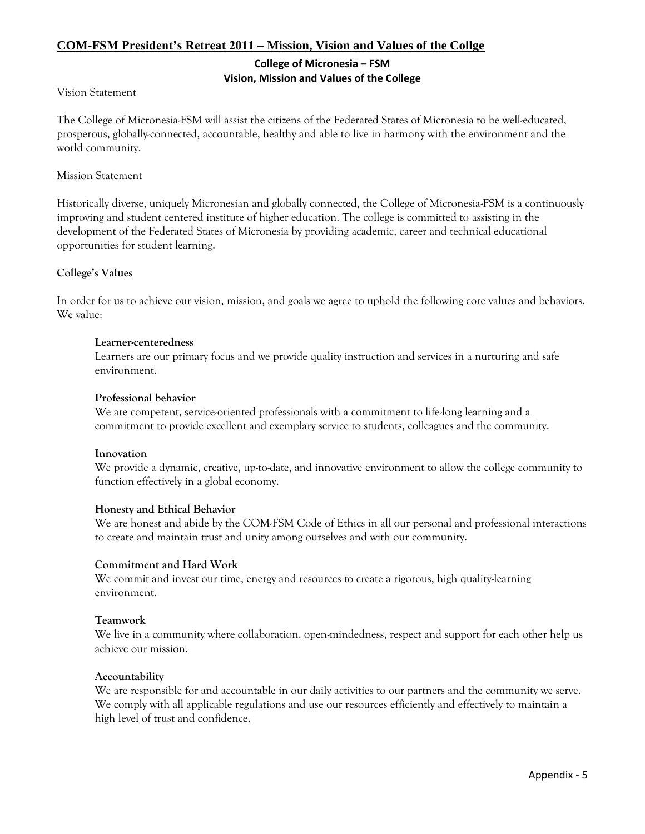### **COM-FSM President's Retreat 2011 – Mission, Vision and Values of the Collge**

### **College of Micronesia – FSM**

### **Vision, Mission and Values of the College**

### Vision Statement

The College of Micronesia-FSM will assist the citizens of the Federated States of Micronesia to be well-educated, prosperous, globally-connected, accountable, healthy and able to live in harmony with the environment and the world community.

### Mission Statement

Historically diverse, uniquely Micronesian and globally connected, the College of Micronesia-FSM is a continuously improving and student centered institute of higher education. The college is committed to assisting in the development of the Federated States of Micronesia by providing academic, career and technical educational opportunities for student learning.

### **College's Values**

In order for us to achieve our vision, mission, and goals we agree to uphold the following core values and behaviors. We value:

### **Learner-centeredness**

Learners are our primary focus and we provide quality instruction and services in a nurturing and safe environment.

### **Professional behavior**

We are competent, service-oriented professionals with a commitment to life-long learning and a commitment to provide excellent and exemplary service to students, colleagues and the community.

### **Innovation**

We provide a dynamic, creative, up-to-date, and innovative environment to allow the college community to function effectively in a global economy.

### **Honesty and Ethical Behavior**

We are honest and abide by the COM-FSM Code of Ethics in all our personal and professional interactions to create and maintain trust and unity among ourselves and with our community.

### **Commitment and Hard Work**

We commit and invest our time, energy and resources to create a rigorous, high quality-learning environment.

### **Teamwork**

We live in a community where collaboration, open-mindedness, respect and support for each other help us achieve our mission.

### **Accountability**

We are responsible for and accountable in our daily activities to our partners and the community we serve. We comply with all applicable regulations and use our resources efficiently and effectively to maintain a high level of trust and confidence.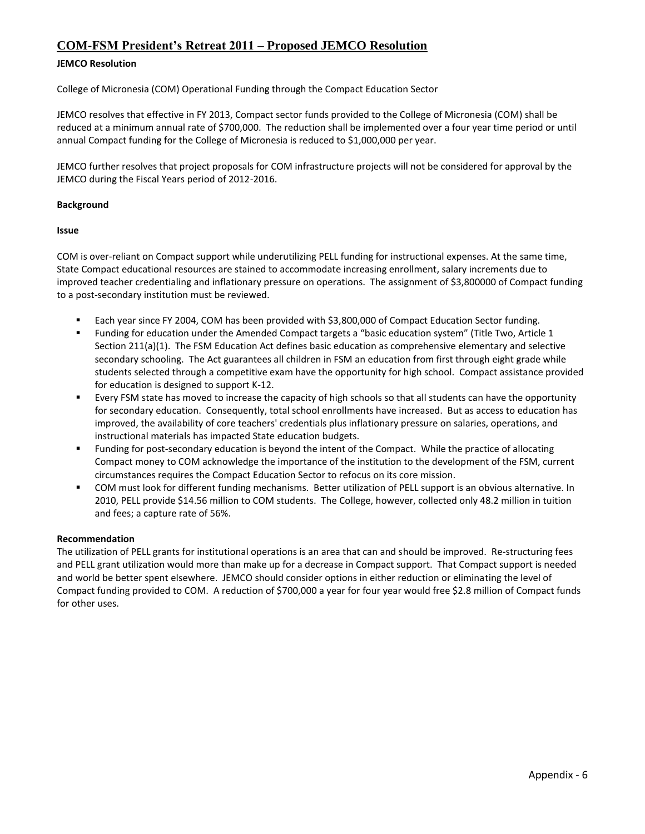### **COM-FSM President's Retreat 2011 – Proposed JEMCO Resolution**

### **JEMCO Resolution**

College of Micronesia (COM) Operational Funding through the Compact Education Sector

JEMCO resolves that effective in FY 2013, Compact sector funds provided to the College of Micronesia (COM) shall be reduced at a minimum annual rate of \$700,000. The reduction shall be implemented over a four year time period or until annual Compact funding for the College of Micronesia is reduced to \$1,000,000 per year.

JEMCO further resolves that project proposals for COM infrastructure projects will not be considered for approval by the JEMCO during the Fiscal Years period of 2012-2016.

### **Background**

### **Issue**

COM is over-reliant on Compact support while underutilizing PELL funding for instructional expenses. At the same time, State Compact educational resources are stained to accommodate increasing enrollment, salary increments due to improved teacher credentialing and inflationary pressure on operations. The assignment of \$3,800000 of Compact funding to a post-secondary institution must be reviewed.

- Each year since FY 2004, COM has been provided with \$3,800,000 of Compact Education Sector funding.
- Funding for education under the Amended Compact targets a "basic education system" (Title Two, Article 1 Section 211(a)(1). The FSM Education Act defines basic education as comprehensive elementary and selective secondary schooling. The Act guarantees all children in FSM an education from first through eight grade while students selected through a competitive exam have the opportunity for high school. Compact assistance provided for education is designed to support K-12.
- Every FSM state has moved to increase the capacity of high schools so that all students can have the opportunity for secondary education. Consequently, total school enrollments have increased. But as access to education has improved, the availability of core teachers' credentials plus inflationary pressure on salaries, operations, and instructional materials has impacted State education budgets.
- Funding for post-secondary education is beyond the intent of the Compact. While the practice of allocating Compact money to COM acknowledge the importance of the institution to the development of the FSM, current circumstances requires the Compact Education Sector to refocus on its core mission.
- COM must look for different funding mechanisms. Better utilization of PELL support is an obvious alternative. In 2010, PELL provide \$14.56 million to COM students. The College, however, collected only 48.2 million in tuition and fees; a capture rate of 56%.

### **Recommendation**

The utilization of PELL grants for institutional operations is an area that can and should be improved. Re-structuring fees and PELL grant utilization would more than make up for a decrease in Compact support. That Compact support is needed and world be better spent elsewhere. JEMCO should consider options in either reduction or eliminating the level of Compact funding provided to COM. A reduction of \$700,000 a year for four year would free \$2.8 million of Compact funds for other uses.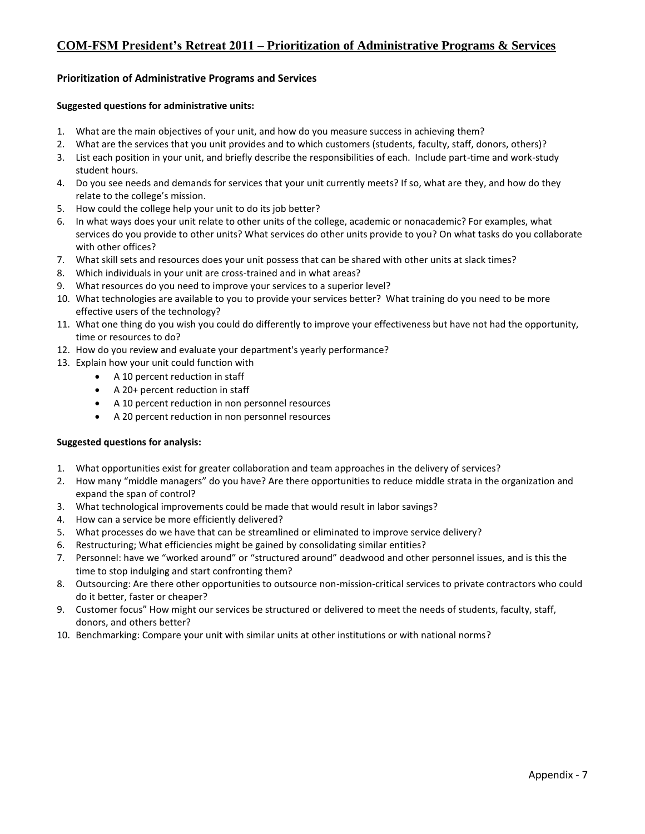### **COM-FSM President's Retreat 2011 – Prioritization of Administrative Programs & Services**

### **Prioritization of Administrative Programs and Services**

### **Suggested questions for administrative units:**

- 1. What are the main objectives of your unit, and how do you measure success in achieving them?
- 2. What are the services that you unit provides and to which customers (students, faculty, staff, donors, others)?
- 3. List each position in your unit, and briefly describe the responsibilities of each. Include part-time and work-study student hours.
- 4. Do you see needs and demands for services that your unit currently meets? If so, what are they, and how do they relate to the college's mission.
- 5. How could the college help your unit to do its job better?
- 6. In what ways does your unit relate to other units of the college, academic or nonacademic? For examples, what services do you provide to other units? What services do other units provide to you? On what tasks do you collaborate with other offices?
- 7. What skill sets and resources does your unit possess that can be shared with other units at slack times?
- 8. Which individuals in your unit are cross-trained and in what areas?
- 9. What resources do you need to improve your services to a superior level?
- 10. What technologies are available to you to provide your services better? What training do you need to be more effective users of the technology?
- 11. What one thing do you wish you could do differently to improve your effectiveness but have not had the opportunity, time or resources to do?
- 12. How do you review and evaluate your department's yearly performance?
- 13. Explain how your unit could function with
	- A 10 percent reduction in staff
	- A 20+ percent reduction in staff
	- A 10 percent reduction in non personnel resources
	- A 20 percent reduction in non personnel resources

### **Suggested questions for analysis:**

- 1. What opportunities exist for greater collaboration and team approaches in the delivery of services?
- 2. How many "middle managers" do you have? Are there opportunities to reduce middle strata in the organization and expand the span of control?
- 3. What technological improvements could be made that would result in labor savings?
- 4. How can a service be more efficiently delivered?
- 5. What processes do we have that can be streamlined or eliminated to improve service delivery?
- 6. Restructuring; What efficiencies might be gained by consolidating similar entities?
- 7. Personnel: have we "worked around" or "structured around" deadwood and other personnel issues, and is this the time to stop indulging and start confronting them?
- 8. Outsourcing: Are there other opportunities to outsource non-mission-critical services to private contractors who could do it better, faster or cheaper?
- 9. Customer focus" How might our services be structured or delivered to meet the needs of students, faculty, staff, donors, and others better?
- 10. Benchmarking: Compare your unit with similar units at other institutions or with national norms?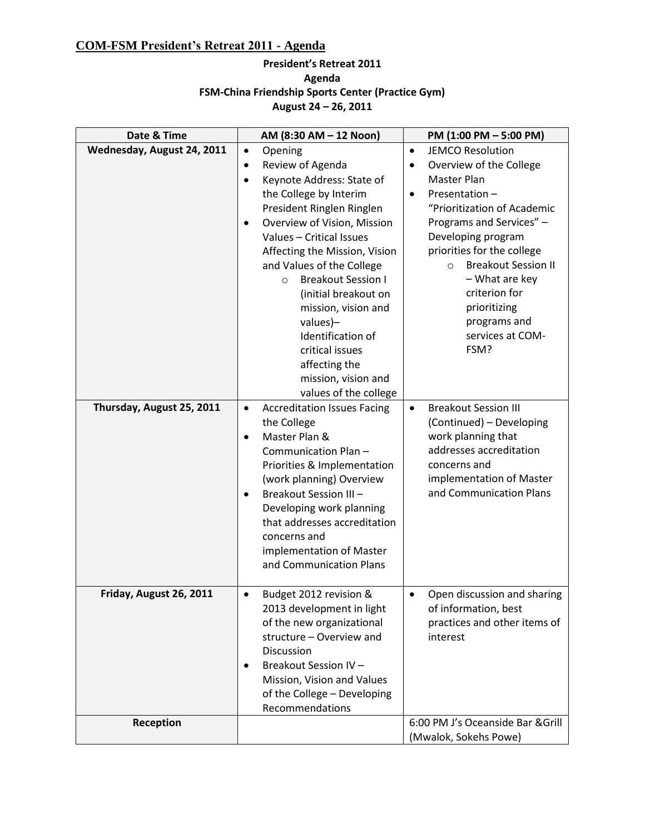### **COM-FSM President's Retreat 2011 - Agenda**

### **President's Retreat 2011 Agenda FSM-China Friendship Sports Center (Practice Gym) August 24 – 26, 2011**

| Date & Time                | AM (8:30 AM - 12 Noon)                                                                                                                                                                                                                                                                                                                                                                                                                                                                                   | PM (1:00 PM - 5:00 PM)                                                                                                                                                                                                                                                                                                                                                   |
|----------------------------|----------------------------------------------------------------------------------------------------------------------------------------------------------------------------------------------------------------------------------------------------------------------------------------------------------------------------------------------------------------------------------------------------------------------------------------------------------------------------------------------------------|--------------------------------------------------------------------------------------------------------------------------------------------------------------------------------------------------------------------------------------------------------------------------------------------------------------------------------------------------------------------------|
| Wednesday, August 24, 2011 | $\bullet$<br>Opening<br>Review of Agenda<br>$\bullet$<br>Keynote Address: State of<br>$\bullet$<br>the College by Interim<br>President Ringlen Ringlen<br>Overview of Vision, Mission<br>$\bullet$<br>Values - Critical Issues<br>Affecting the Mission, Vision<br>and Values of the College<br><b>Breakout Session I</b><br>$\circ$<br>(initial breakout on<br>mission, vision and<br>values)-<br>Identification of<br>critical issues<br>affecting the<br>mission, vision and<br>values of the college | <b>JEMCO Resolution</b><br>$\bullet$<br>Overview of the College<br>٠<br>Master Plan<br>Presentation-<br>$\bullet$<br>"Prioritization of Academic<br>Programs and Services" -<br>Developing program<br>priorities for the college<br><b>Breakout Session II</b><br>$\circ$<br>- What are key<br>criterion for<br>prioritizing<br>programs and<br>services at COM-<br>FSM? |
| Thursday, August 25, 2011  | <b>Accreditation Issues Facing</b><br>$\bullet$<br>the College<br>Master Plan &<br>$\bullet$<br>Communication Plan-<br>Priorities & Implementation<br>(work planning) Overview<br>Breakout Session III -<br>$\bullet$<br>Developing work planning<br>that addresses accreditation<br>concerns and<br>implementation of Master<br>and Communication Plans                                                                                                                                                 | <b>Breakout Session III</b><br>$\bullet$<br>(Continued) - Developing<br>work planning that<br>addresses accreditation<br>concerns and<br>implementation of Master<br>and Communication Plans                                                                                                                                                                             |
| Friday, August 26, 2011    | Budget 2012 revision &<br>$\bullet$<br>2013 development in light<br>of the new organizational<br>structure - Overview and<br>Discussion<br>Breakout Session IV-<br>$\bullet$<br>Mission, Vision and Values<br>of the College - Developing<br>Recommendations                                                                                                                                                                                                                                             | Open discussion and sharing<br>$\bullet$<br>of information, best<br>practices and other items of<br>interest                                                                                                                                                                                                                                                             |
| Reception                  |                                                                                                                                                                                                                                                                                                                                                                                                                                                                                                          | 6:00 PM J's Oceanside Bar & Grill<br>(Mwalok, Sokehs Powe)                                                                                                                                                                                                                                                                                                               |